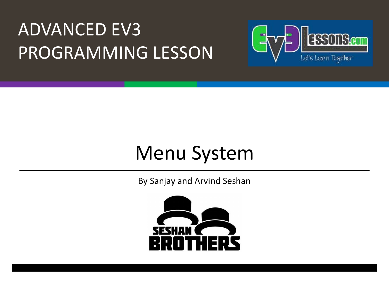### **ADVANCED EV3** PROGRAMMING LESSON



### Menu System

By Sanjay and Arvind Seshan

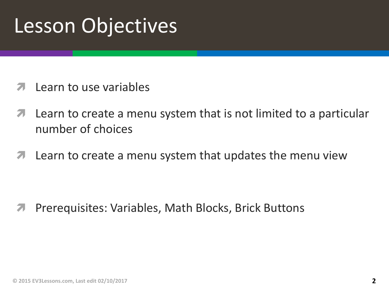## Lesson Objectives

- Learn to use variables
- **7** Learn to create a menu system that is not limited to a particular number of choices
- $\lambda$  Learn to create a menu system that updates the menu view

**7** Prerequisites: Variables, Math Blocks, Brick Buttons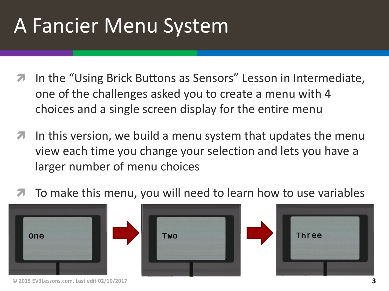# A Fancier Menu System

- In the "Using Brick Buttons as Sensors" Lesson in Intermediate, one of the challenges asked you to create a menu with 4 choices and a single screen display for the entire menu
- **7** In this version, we build a menu system that updates the menu view each time you change your selection and lets you have a larger number of menu choices
- To make this menu, you will need to learn how to use variables



**© 2015 EV3Lessons.com, Last edit 02/10/2017 3**



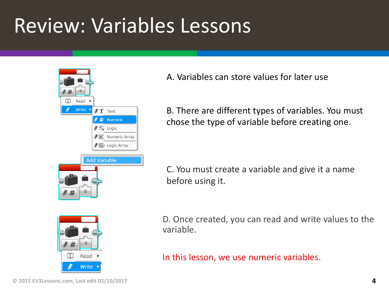## Review: Variables Lessons

| ö<br>#<br>Read<br>ь                             |
|-------------------------------------------------|
| <b>Write</b><br>ø<br>Þ<br>$\mathscr{N}$ T Text  |
| # Numeric                                       |
| $\mathscr{U}\mathscr{V}_{\mathsf{x}}$ Logic     |
| $\mathscr{M} \boxplus \mathbb{I}$ Numeric Array |
| ∦ <del>  ∑[+</del> Logic Array                  |
| <b>Add Variable</b>                             |
|                                                 |
|                                                 |

A. Variables can store values for later use

B. There are different types of variables. You must chose the type of variable before creating one.

C. You must create a variable and give it a name before using it.



D. Once created, you can read and write values to the variable.

In this lesson, we use numeric variables.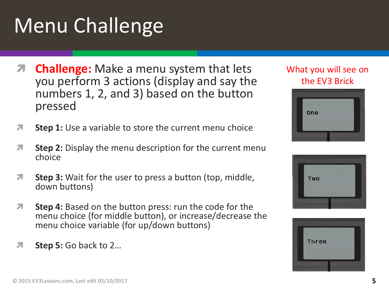## Menu Challenge

- **Challenge:** Make a menu system that lets you perform 3 actions (display and say the numbers 1, 2, and 3) based on the button pressed
- *A* Step 1: Use a variable to store the current menu choice
- **1** Step 2: Display the menu description for the current menu choice
- *i* **Step 3:** Wait for the user to press a button (top, middle, down buttons)
- *A* Step 4: Based on the button press: run the code for the menu choice (for middle button), or increase/decrease the menu choice variable (for up/down buttons)
- *A* Step 5: Go back to 2...

#### What you will see on the EV3 Brick





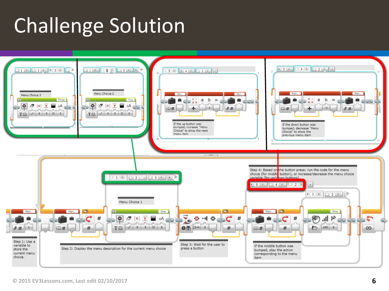# **Challenge Solution**

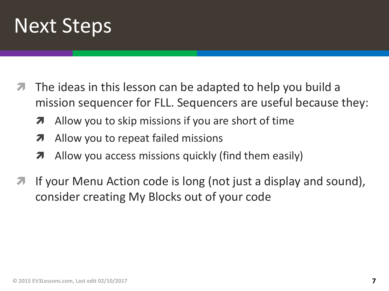

- The ideas in this lesson can be adapted to help you build a mission sequencer for FLL. Sequencers are useful because they:
	- $\lambda$  Allow you to skip missions if you are short of time
	- **7** Allow you to repeat failed missions
	- $\lambda$  Allow you access missions quickly (find them easily)
- If your Menu Action code is long (not just a display and sound), consider creating My Blocks out of your code